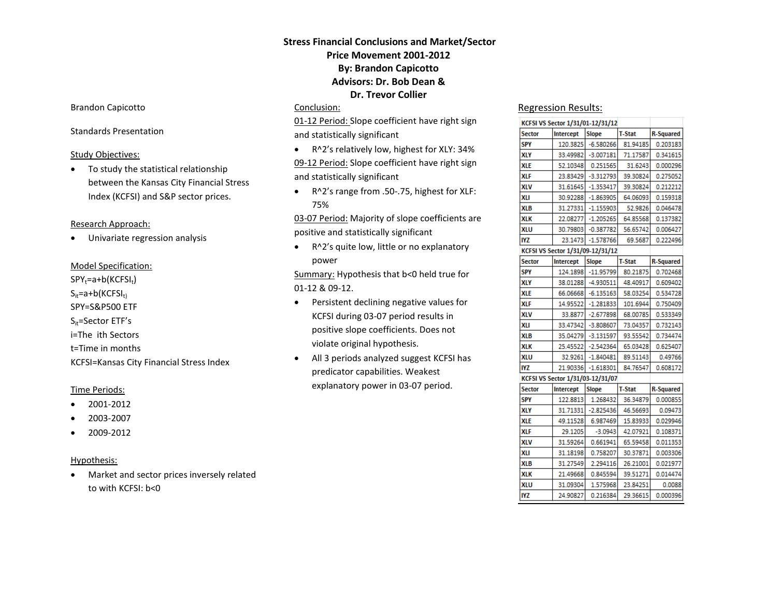# **Stress Financial Conclusions and Market/Sector Price Movement 2001-2012 By: Brandon Capicotto Advisors: Dr. Bob Dean & Dr. Trevor Collier**

#### Conclusion:

01-12 Period: Slope coefficient have right sign and statistically significant

• R^2's relatively low, highest for XLY: 34%

09-12 Period: Slope coefficient have right sign and statistically significant

• R^2's range from .50-.75, highest for XLF: 75%

03-07 Period: Majority of slope coefficients are positive and statistically significant

• R^2's quite low, little or no explanatory power

Summary: Hypothesis that b<0 held true for 01-12 & 09-12.

- Persistent declining negative values for KCFSI during 03-07 period results in positive slope coefficients. Does not violate original hypothesis.
- All 3 periods analyzed suggest KCFSI has predicator capabilities. Weakest explanatory power in 03-07 period.

#### Regression Results:

| KCFSI VS Sector 1/31/01-12/31/12 |           |                     |               |                  |
|----------------------------------|-----------|---------------------|---------------|------------------|
| Sector                           | Intercept | Slope               | <b>T-Stat</b> | <b>R-Squared</b> |
| <b>SPY</b>                       |           | 120.3825 -6.580266  | 81.94185      | 0.203183         |
| XLY                              |           | 33.49982 - 3.007181 | 71.17587      | 0.341615         |
| XLE                              | 52.10348  | 0.251565            | 31.6243       | 0.000296         |
| XLF                              | 23.83429  | $-3.312793$         | 39.30824      | 0.275052         |
| XLV                              | 31.61645  | $-1.353417$         | 39.30824      | 0.212212         |
| XLI                              | 30.92288  | $-1.863905$         | 64.06093      | 0.159318         |
| XLB                              | 31.27331  | $-1.155903$         | 52.9826       | 0.046478         |
| XLK                              | 22.08277  | $-1.205265$         | 64.85568      | 0.137382         |
| XLU                              | 30.79803  | $-0.387782$         | 56.65742      | 0.006427         |
| IYZ                              |           | 23.1473 -1.578766   | 69.5687       | 0.222496         |
| KCFSI VS Sector 1/31/09-12/31/12 |           |                     |               |                  |
| <b>Sector</b>                    | Intercept | <b>Slope</b>        | <b>T-Stat</b> | <b>R-Squared</b> |
| <b>SPY</b>                       | 124.1898  | $-11.95799$         | 80.21875      | 0.702468         |
| XLY                              |           | 38.01288 -4.930511  | 48.40917      | 0.609402         |
| xle                              | 66.06668  | $-6.135163$         | 58.03254      | 0.534728         |
| XLF                              | 14.95522  | $-1.281833$         | 101.6944      | 0.750409         |
| XLV                              | 33.8877   | $-2.677898$         | 68.00785      | 0.533349         |
| XLI                              | 33.47342  | $-3.808607$         | 73.04357      | 0.732143         |
| XLB                              | 35.04279  | $-3.131597$         | 93.55542      | 0.734474         |
| XLK                              | 25.45522  | $-2.542364$         | 65.03428      | 0.625407         |
| XLU                              | 32.9261   | $-1.840481$         | 89.51143      | 0.49766          |
| IYZ                              | 21.90336  | $-1.618301$         | 84.76547      | 0.608172         |
| KCFSI VS Sector 1/31/03-12/31/07 |           |                     |               |                  |
| <b>Sector</b>                    | Intercept | <b>Slope</b>        | <b>T-Stat</b> | <b>R-Squared</b> |
| SPY                              | 122.8813  | 1.268432            | 36.34879      | 0.000855         |
| XLY                              | 31.71331  | $-2.825436$         | 46.56693      | 0.09473          |
| xle                              | 49.11528  | 6.987469            | 15.83933      | 0.029946         |
| XLF                              | 29.1205   | $-3.0943$           | 42.07921      | 0.108371         |
| XLV                              | 31.59264  | 0.661941            | 65.59458      | 0.011353         |
| XLI                              | 31.18198  | 0.758207            | 30.37871      | 0.003306         |
| XLB                              | 31.27549  | 2.294116            | 26.21001      | 0.021977         |
| XLK                              | 21.49668  | 0.845594            | 39.51271      | 0.014474         |
| XLU                              | 31.09304  | 1.575968            | 23.84251      | 0.0088           |
| IYZ                              | 24.90827  | 0.216384            | 29.36615      | 0.000396         |
|                                  |           |                     |               |                  |

## Brandon Capicotto

### Standards Presentation

#### Study Objectives:

• To study the statistical relationship between the Kansas City Financial Stress Index (KCFSI) and S&P sector prices.

## Research Approach:

• Univariate regression analysis

## Model Specification:

 $SPY_t=a+b(KCFSI_t)$  $S_{it}$ =a+b(KCFSI<sub>t)</sub> SPY=S&P500 ETF  $S_{it}$ =Sector ETF's i=The ith Sectors t=Time in months KCFSI=Kansas City Financial Stress Index

## Time Periods:

- 2001-2012
- 2003-2007
- 2009-2012

#### Hypothesis:

• Market and sector prices inversely related to with KCFSI: b<0